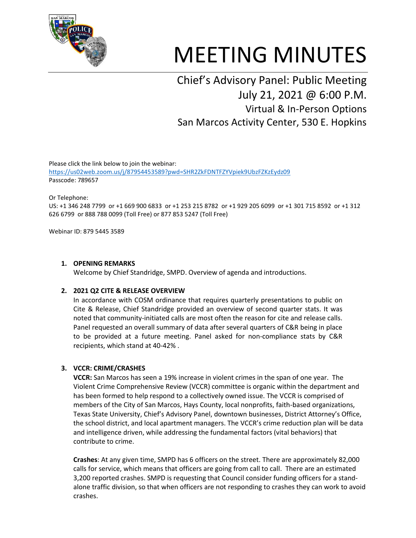

# MEETING MINUTES

## Chief's Advisory Panel: Public Meeting July 21, 2021 @ 6:00 P.M. Virtual & In-Person Options San Marcos Activity Center, 530 E. Hopkins

Please click the link below to join the webinar: <https://us02web.zoom.us/j/87954453589?pwd=SHR2ZkFDNTFZYVpiek9UbzFZKzEydz09> Passcode: 789657

Or Telephone:

US: +1 346 248 7799 or +1 669 900 6833 or +1 253 215 8782 or +1 929 205 6099 or +1 301 715 8592 or +1 312 626 6799 or 888 788 0099 (Toll Free) or 877 853 5247 (Toll Free)

Webinar ID: 879 5445 3589

#### **1. OPENING REMARKS**

Welcome by Chief Standridge, SMPD. Overview of agenda and introductions.

#### **2. 2021 Q2 CITE & RELEASE OVERVIEW**

In accordance with COSM ordinance that requires quarterly presentations to public on Cite & Release, Chief Standridge provided an overview of second quarter stats. It was noted that community-initiated calls are most often the reason for cite and release calls. Panel requested an overall summary of data after several quarters of C&R being in place to be provided at a future meeting. Panel asked for non-compliance stats by C&R recipients, which stand at 40-42% .

#### **3. VCCR: CRIME/CRASHES**

**VCCR:** San Marcos has seen a 19% increase in violent crimes in the span of one year. The Violent Crime Comprehensive Review (VCCR) committee is organic within the department and has been formed to help respond to a collectively owned issue. The VCCR is comprised of members of the City of San Marcos, Hays County, local nonprofits, faith-based organizations, Texas State University, Chief's Advisory Panel, downtown businesses, District Attorney's Office, the school district, and local apartment managers. The VCCR's crime reduction plan will be data and intelligence driven, while addressing the fundamental factors (vital behaviors) that contribute to crime.

**Crashes**: At any given time, SMPD has 6 officers on the street. There are approximately 82,000 calls for service, which means that officers are going from call to call. There are an estimated 3,200 reported crashes. SMPD is requesting that Council consider funding officers for a standalone traffic division, so that when officers are not responding to crashes they can work to avoid crashes.